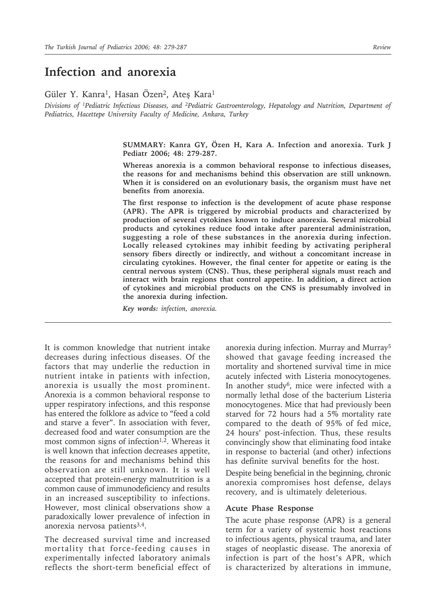# **Infection and anorexia**

Güler Y. Kanra<sup>1</sup>, Hasan Özen<sup>2</sup>, Ateş Kara<sup>1</sup>

*Divisions of 1Pediatric Infectious Diseases, and 2Pediatric Gastroenterology, Hepatology and Nutrition, Department of Pediatrics, Hacettepe University Faculty of Medicine, Ankara, Turkey*

> **SUMMARY: Kanra GY, Özen H, Kara A. Infection and anorexia. Turk J Pediatr 2006; 48: 279-287.**

> **Whereas anorexia is a common behavioral response to infectious diseases, the reasons for and mechanisms behind this observation are still unknown. When it is considered on an evolutionary basis, the organism must have net benefits from anorexia.**

> **The first response to infection is the development of acute phase response (APR). The APR is triggered by microbial products and characterized by production of several cytokines known to induce anorexia. Several microbial products and cytokines reduce food intake after parenteral administration, suggesting a role of these substances in the anorexia during infection. Locally released cytokines may inhibit feeding by activating peripheral sensory fibers directly or indirectly, and without a concomitant increase in circulating cytokines. However, the final center for appetite or eating is the central nervous system (CNS). Thus, these peripheral signals must reach and interact with brain regions that control appetite. In addition, a direct action of cytokines and microbial products on the CNS is presumably involved in the anorexia during infection.**

*Key words: infection, anorexia.*

It is common knowledge that nutrient intake decreases during infectious diseases. Of the factors that may underlie the reduction in nutrient intake in patients with infection, anorexia is usually the most prominent. Anorexia is a common behavioral response to upper respiratory infections, and this response has entered the folklore as advice to "feed a cold and starve a fever". In association with fever, decreased food and water consumption are the most common signs of infection<sup>1,2</sup>. Whereas it is well known that infection decreases appetite, the reasons for and mechanisms behind this observation are still unknown. It is well accepted that protein-energy malnutrition is a common cause of immunodeficiency and results in an increased susceptibility to infections. However, most clinical observations show a paradoxically lower prevalence of infection in anorexia nervosa patients $3,4$ .

The decreased survival time and increased mortality that force-feeding causes in experimentally infected laboratory animals reflects the short-term beneficial effect of anorexia during infection. Murray and Murray5 showed that gavage feeding increased the mortality and shortened survival time in mice acutely infected with Listeria monocytogenes. In another study<sup>6</sup>, mice were infected with a normally lethal dose of the bacterium Listeria monocytogenes. Mice that had previously been starved for 72 hours had a 5% mortality rate compared to the death of 95% of fed mice, 24 hours' post-infection. Thus, these results convincingly show that eliminating food intake in response to bacterial (and other) infections has definite survival benefits for the host.

Despite being beneficial in the beginning, chronic anorexia compromises host defense, delays recovery, and is ultimately deleterious.

#### **Acute Phase Response**

The acute phase response (APR) is a general term for a variety of systemic host reactions to infectious agents, physical trauma, and later stages of neoplastic disease. The anorexia of infection is part of the host's APR, which is characterized by alterations in immune,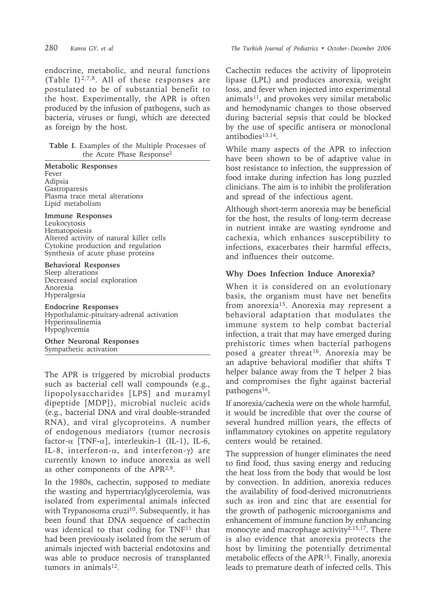endocrine, metabolic, and neural functions (Table I) $^{2,7,8}$ . All of these responses are postulated to be of substantial benefit to the host. Experimentally, the APR is often produced by the infusion of pathogens, such as bacteria, viruses or fungi, which are detected as foreign by the host.

**Table I.** Examples of the Multiple Processes of the Acute Phase Response2

**Metabolic Responses** Fever Adipsia **Gastroparesis** Plasma trace metal alterations Lipid metabolism

**Immune Responses** Leukocytosis Hematopoiesis Altered activity of natural killer cells Cytokine production and regulation Synthesis of acute phase proteins

**Behavioral Responses** Sleep alterations Decreased social exploration Anorexia Hyperalgesia

**Endocrine Responses** Hypothalamic-pituitary-adrenal activation Hyperinsulinemia Hypoglycemia

**Other Neuronal Responses** Sympathetic activation

The APR is triggered by microbial products such as bacterial cell wall compounds (e.g., lipopolysaccharides [LPS] and muramyl dipeptide [MDP]), microbial nucleic acids (e.g., bacterial DNA and viral double-stranded RNA), and viral glycoproteins. A number of endogenous mediators (tumor necrosis factor-α [TNF-α], interleukin-1 (IL-1), IL-6, IL-8, interferon-α, and interferon-γ) are currently known to induce anorexia as well as other components of the APR2,9.

In the 1980s, cachectin, supposed to mediate the wasting and hypertriacylglycerolemia, was isolated from experimental animals infected with Trypanosoma cruzi<sup>10</sup>. Subsequently, it has been found that DNA sequence of cachectin was identical to that coding for TNF<sup>11</sup> that had been previously isolated from the serum of animals injected with bacterial endotoxins and was able to produce necrosis of transplanted tumors in animals<sup>12</sup>.

Cachectin reduces the activity of lipoprotein lipase (LPL) and produces anorexia, weight loss, and fever when injected into experimental animals11, and provokes very similar metabolic and hemodynamic changes to those observed during bacterial sepsis that could be blocked by the use of specific antisera or monoclonal antibodies<sup>13,14</sup>.

While many aspects of the APR to infection have been shown to be of adaptive value in host resistance to infection, the suppression of food intake during infection has long puzzled clinicians. The aim is to inhibit the proliferation and spread of the infectious agent.

Although short-term anorexia may be beneficial for the host, the results of long-term decrease in nutrient intake are wasting syndrome and cachexia, which enhances susceptibility to infections, exacerbates their harmful effects, and influences their outcome.

## **Why Does Infection Induce Anorexia?**

When it is considered on an evolutionary basis, the organism must have net benefits from anorexia15. Anorexia may represent a behavioral adaptation that modulates the immune system to help combat bacterial infection, a trait that may have emerged during prehistoric times when bacterial pathogens posed a greater threat<sup>16</sup>. Anorexia may be an adaptive behavioral modifier that shifts T helper balance away from the T helper 2 bias and compromises the fight against bacterial pathogens16.

If anorexia/cachexia were on the whole harmful, it would be incredible that over the course of several hundred million years, the effects of inflammatory cytokines on appetite regulatory centers would be retained.

The suppression of hunger eliminates the need to find food, thus saving energy and reducing the heat loss from the body that would be lost by convection. In addition, anorexia reduces the availability of food-derived micronutrients such as iron and zinc that are essential for the growth of pathogenic microorganisms and enhancement of immune function by enhancing monocyte and macrophage activity<sup>2,15,17</sup>. There is also evidence that anorexia protects the host by limiting the potentially detrimental metabolic effects of the APR15. Finally, anorexia leads to premature death of infected cells. This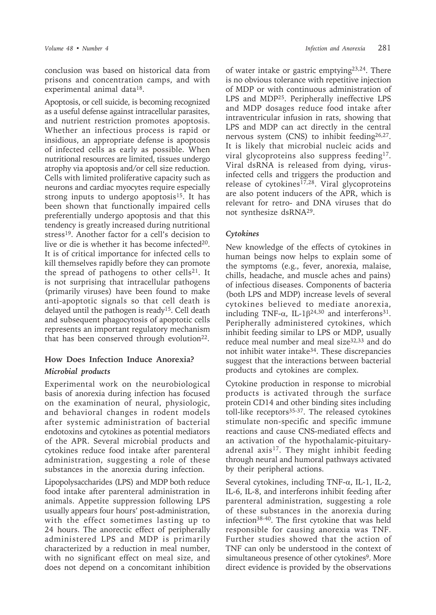conclusion was based on historical data from prisons and concentration camps, and with experimental animal data18.

Apoptosis, or cell suicide, is becoming recognized as a useful defense against intracellular parasites, and nutrient restriction promotes apoptosis. Whether an infectious process is rapid or insidious, an appropriate defense is apoptosis of infected cells as early as possible. When nutritional resources are limited, tissues undergo atrophy via apoptosis and/or cell size reduction. Cells with limited proliferative capacity such as neurons and cardiac myocytes require especially strong inputs to undergo apoptosis<sup>15</sup>. It has been shown that functionally impaired cells preferentially undergo apoptosis and that this tendency is greatly increased during nutritional stress<sup>19</sup>. Another factor for a cell's decision to live or die is whether it has become infected<sup>20</sup>. It is of critical importance for infected cells to kill themselves rapidly before they can promote the spread of pathogens to other cells<sup>21</sup>. It is not surprising that intracellular pathogens (primarily viruses) have been found to make anti-apoptotic signals so that cell death is delayed until the pathogen is ready<sup>15</sup>. Cell death and subsequent phagocytosis of apoptotic cells represents an important regulatory mechanism that has been conserved through evolution $22$ .

### **How Does Infection Induce Anorexia?**

### *Microbial products*

Experimental work on the neurobiological basis of anorexia during infection has focused on the examination of neural, physiologic, and behavioral changes in rodent models after systemic administration of bacterial endotoxins and cytokines as potential mediators of the APR. Several microbial products and cytokines reduce food intake after parenteral administration, suggesting a role of these substances in the anorexia during infection.

Lipopolysaccharides (LPS) and MDP both reduce food intake after parenteral administration in animals. Appetite suppression following LPS usually appears four hours' post-administration, with the effect sometimes lasting up to 24 hours. The anorectic effect of peripherally administered LPS and MDP is primarily characterized by a reduction in meal number, with no significant effect on meal size, and does not depend on a concomitant inhibition

of water intake or gastric emptying23,24. There is no obvious tolerance with repetitive injection of MDP or with continuous administration of LPS and MDP25. Peripherally ineffective LPS and MDP dosages reduce food intake after intraventricular infusion in rats, showing that LPS and MDP can act directly in the central nervous system (CNS) to inhibit feeding<sup>26,27</sup>. It is likely that microbial nucleic acids and viral glycoproteins also suppress feeding17. Viral dsRNA is released from dying, virusinfected cells and triggers the production and release of cytokines<sup>17,28</sup>. Viral glycoproteins are also potent inducers of the APR, which is relevant for retro- and DNA viruses that do not synthesize dsRNA29.

#### *Cytokines*

New knowledge of the effects of cytokines in human beings now helps to explain some of the symptoms (e.g., fever, anorexia, malaise, chills, headache, and muscle aches and pains) of infectious diseases. Components of bacteria (both LPS and MDP) increase levels of several cytokines believed to mediate anorexia, including TNF- $\alpha$ , IL-1 $\beta^{24,30}$  and interferons<sup>31</sup>. Peripherally administered cytokines, which inhibit feeding similar to LPS or MDP, usually reduce meal number and meal size<sup>32,33</sup> and do not inhibit water intake34. These discrepancies suggest that the interactions between bacterial products and cytokines are complex.

Cytokine production in response to microbial products is activated through the surface protein CD14 and other binding sites including toll-like receptors<sup>35-37</sup>. The released cytokines stimulate non-specific and specific immune reactions and cause CNS-mediated effects and an activation of the hypothalamic-pituitaryadrenal axis<sup>17</sup>. They might inhibit feeding through neural and humoral pathways activated by their peripheral actions.

Several cytokines, including TNF- $\alpha$ , IL-1, IL-2, IL-6, IL-8, and interferons inhibit feeding after parenteral administration, suggesting a role of these substances in the anorexia during infection38-40. The first cytokine that was held responsible for causing anorexia was TNF. Further studies showed that the action of TNF can only be understood in the context of simultaneous presence of other cytokines<sup>9</sup>. More direct evidence is provided by the observations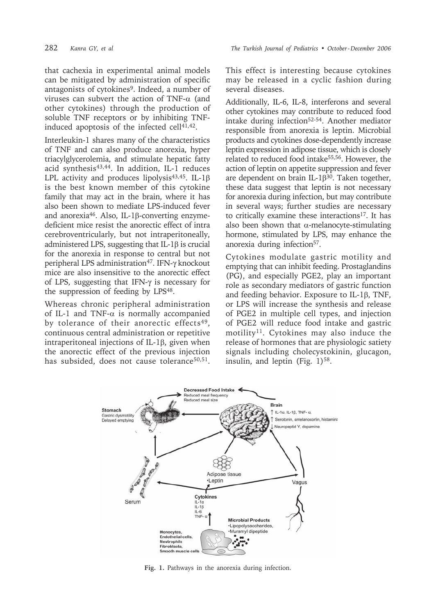that cachexia in experimental animal models can be mitigated by administration of specific antagonists of cytokines<sup>9</sup>. Indeed, a number of viruses can subvert the action of TNF-α (and other cytokines) through the production of soluble TNF receptors or by inhibiting TNFinduced apoptosis of the infected cell<sup>41,42</sup>.

Interleukin-1 shares many of the characteristics of TNF and can also produce anorexia, hyper triacylglycerolemia, and stimulate hepatic fatty acid synthesis<sup>43,44</sup>. In addition, IL-1 reduces LPL activity and produces lipolysis43,45. IL-1β is the best known member of this cytokine family that may act in the brain, where it has also been shown to mediate LPS-induced fever and anorexia46. Also, IL-1β-converting enzymedeficient mice resist the anorectic effect of intra cerebroventricularly, but not intraperitoneally, administered LPS, suggesting that IL-1β is crucial for the anorexia in response to central but not peripheral LPS administration<sup>47</sup>. IFN-γ knockout mice are also insensitive to the anorectic effect of LPS, suggesting that IFN-γ is necessary for the suppression of feeding by LPS48.

Whereas chronic peripheral administration of IL-1 and TNF- $\alpha$  is normally accompanied by tolerance of their anorectic effects<sup>49</sup>. continuous central administration or repetitive intraperitoneal injections of IL-1β, given when the anorectic effect of the previous injection has subsided, does not cause tolerance<sup>50,51</sup>.

This effect is interesting because cytokines may be released in a cyclic fashion during several diseases.

Additionally, IL-6, IL-8, interferons and several other cytokines may contribute to reduced food intake during infection52-54. Another mediator responsible from anorexia is leptin. Microbial products and cytokines dose-dependently increase leptin expression in adipose tissue, which is closely related to reduced food intake55,56. However, the action of leptin on appetite suppression and fever are dependent on brain IL-1β30. Taken together, these data suggest that leptin is not necessary for anorexia during infection, but may contribute in several ways; further studies are necessary to critically examine these interactions17. It has also been shown that  $\alpha$ -melanocyte-stimulating hormone, stimulated by LPS, may enhance the anorexia during infection<sup>57</sup>.

Cytokines modulate gastric motility and emptying that can inhibit feeding. Prostaglandins (PG), and especially PGE2, play an important role as secondary mediators of gastric function and feeding behavior. Exposure to IL-1β, TNF, or LPS will increase the synthesis and release of PGE2 in multiple cell types, and injection of PGE2 will reduce food intake and gastric motility<sup>11</sup>. Cytokines may also induce the release of hormones that are physiologic satiety signals including cholecystokinin, glucagon, insulin, and leptin (Fig.  $1$ )<sup>58</sup>.



**Fig. 1.** Pathways in the anorexia during infection.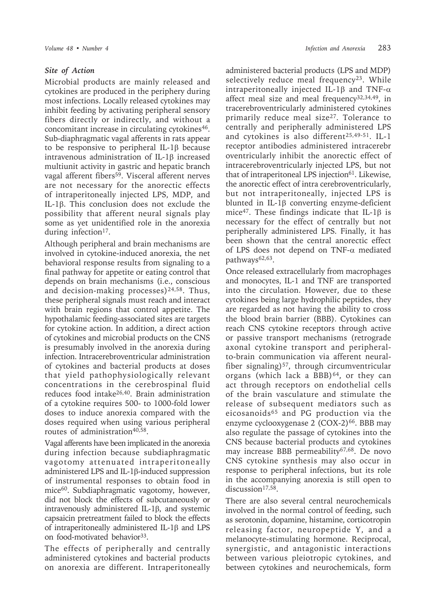#### *Site of Action*

Microbial products are mainly released and cytokines are produced in the periphery during most infections. Locally released cytokines may inhibit feeding by activating peripheral sensory fibers directly or indirectly, and without a concomitant increase in circulating cytokines<sup>46</sup>. Sub-diaphragmatic vagal afferents in rats appear to be responsive to peripheral IL-1β because intravenous administration of IL-1β increased multiunit activity in gastric and hepatic branch vagal afferent fibers<sup>59</sup>. Visceral afferent nerves are not necessary for the anorectic effects of intraperitoneally injected LPS, MDP, and IL-1β. This conclusion does not exclude the possibility that afferent neural signals play some as yet unidentified role in the anorexia during infection<sup>17</sup>.

Although peripheral and brain mechanisms are involved in cytokine-induced anorexia, the net behavioral response results from signaling to a final pathway for appetite or eating control that depends on brain mechanisms (i.e., conscious and decision-making processes) $24,58$ . Thus, these peripheral signals must reach and interact with brain regions that control appetite. The hypothalamic feeding-associated sites are targets for cytokine action. In addition, a direct action of cytokines and microbial products on the CNS is presumably involved in the anorexia during infection. Intracerebroventricular administration of cytokines and bacterial products at doses that yield pathophysiologically relevant concentrations in the cerebrospinal fluid reduces food intake26,40. Brain administration of a cytokine requires 500- to 1000-fold lower doses to induce anorexia compared with the doses required when using various peripheral routes of administration<sup>40,58</sup>.

Vagal afferents have been implicated in the anorexia during infection because subdiaphragmatic vagotomy attenuated intraperitoneally administered LPS and IL-1β-induced suppression of instrumental responses to obtain food in mice<sup>60</sup>. Subdiaphragmatic vagotomy, however, did not block the effects of subcutaneously or intravenously administered IL-1β, and systemic capsaicin pretreatment failed to block the effects of intraperitoneally administered IL-1β and LPS on food-motivated behavior<sup>33</sup>.

The effects of peripherally and centrally administered cytokines and bacterial products on anorexia are different. Intraperitoneally administered bacterial products (LPS and MDP) selectively reduce meal frequency<sup>23</sup>. While intraperitoneally injected IL-1β and TNF-α affect meal size and meal frequency32,34,49, in tracerebroventricularly administered cytokines primarily reduce meal size<sup>27</sup>. Tolerance to centrally and peripherally administered LPS and cytokines is also different<sup>25,49-51</sup>. IL-1 receptor antibodies administered intracerebr oventricularly inhibit the anorectic effect of intracerebroventricularly injected LPS, but not that of intraperitoneal LPS injection<sup>61</sup>. Likewise, the anorectic effect of intra cerebroventricularly, but not intraperitoneally, injected LPS is blunted in IL-1β converting enzyme-deficient mice47. These findings indicate that IL-1β is necessary for the effect of centrally but not peripherally administered LPS. Finally, it has been shown that the central anorectic effect of LPS does not depend on TNF-α mediated pathways<sup>62,63</sup>.

Once released extracellularly from macrophages and monocytes, IL-1 and TNF are transported into the circulation. However, due to these cytokines being large hydrophilic peptides, they are regarded as not having the ability to cross the blood brain barrier (BBB). Cytokines can reach CNS cytokine receptors through active or passive transport mechanisms (retrograde axonal cytokine transport and peripheralto-brain communication via afferent neuralfiber signaling) $57$ , through circumventricular organs (which lack a BBB) $64$ , or they can act through receptors on endothelial cells of the brain vasculature and stimulate the release of subsequent mediators such as eicosanoids<sup>65</sup> and PG production via the enzyme cyclooxygenase  $2$  (COX-2)<sup>66</sup>. BBB may also regulate the passage of cytokines into the CNS because bacterial products and cytokines may increase BBB permeability67,68. De novo CNS cytokine synthesis may also occur in response to peripheral infections, but its role in the accompanying anorexia is still open to discussion<sup>17,58</sup>

There are also several central neurochemicals involved in the normal control of feeding, such as serotonin, dopamine, histamine, corticotropin releasing factor, neuropeptide Y, and a melanocyte-stimulating hormone. Reciprocal, synergistic, and antagonistic interactions between various pleiotropic cytokines, and between cytokines and neurochemicals, form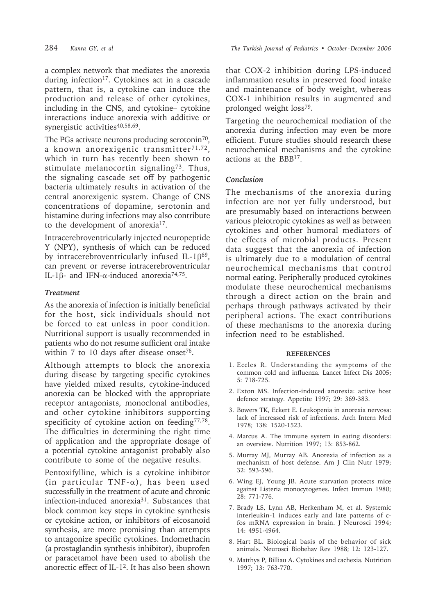a complex network that mediates the anorexia during infection<sup>17</sup>. Cytokines act in a cascade pattern, that is, a cytokine can induce the production and release of other cytokines, including in the CNS, and cytokine– cytokine interactions induce anorexia with additive or synergistic activities<sup>40,58,69</sup>.

The PGs activate neurons producing serotonin<sup>70</sup>, a known anorexigenic transmitter $71,72$ , which in turn has recently been shown to stimulate melanocortin signaling<sup>73</sup>. Thus, the signaling cascade set off by pathogenic bacteria ultimately results in activation of the central anorexigenic system. Change of CNS concentrations of dopamine, serotonin and histamine during infections may also contribute to the development of anorexia<sup>17</sup>.

Intracerebroventricularly injected neuropeptide Y (NPY), synthesis of which can be reduced by intracerebroventricularly infused IL-1 $\beta^{69}$ , can prevent or reverse intracerebroventricular IL-1 $\beta$ - and IFN- $\alpha$ -induced anorexia<sup>74,75</sup>.

#### *Treatment*

As the anorexia of infection is initially beneficial for the host, sick individuals should not be forced to eat unless in poor condition. Nutritional support is usually recommended in patients who do not resume sufficient oral intake within 7 to 10 days after disease onset<sup>76</sup>.

Although attempts to block the anorexia during disease by targeting specific cytokines have yielded mixed results, cytokine-induced anorexia can be blocked with the appropriate receptor antagonists, monoclonal antibodies, and other cytokine inhibitors supporting specificity of cytokine action on feeding<sup>77,78</sup>. The difficulties in determining the right time of application and the appropriate dosage of a potential cytokine antagonist probably also contribute to some of the negative results.

Pentoxifylline, which is a cytokine inhibitor (in particular TNF- $\alpha$ ), has been used successfully in the treatment of acute and chronic infection-induced anorexia31. Substances that block common key steps in cytokine synthesis or cytokine action, or inhibitors of eicosanoid synthesis, are more promising than attempts to antagonize specific cytokines. Indomethacin (a prostaglandin synthesis inhibitor), ibuprofen or paracetamol have been used to abolish the anorectic effect of IL-12. It has also been shown

that COX-2 inhibition during LPS-induced inflammation results in preserved food intake and maintenance of body weight, whereas COX-1 inhibition results in augmented and prolonged weight loss79.

Targeting the neurochemical mediation of the anorexia during infection may even be more efficient. Future studies should research these neurochemical mechanisms and the cytokine actions at the BBB17.

#### *Conclusion*

The mechanisms of the anorexia during infection are not yet fully understood, but are presumably based on interactions between various pleiotropic cytokines as well as between cytokines and other humoral mediators of the effects of microbial products. Present data suggest that the anorexia of infection is ultimately due to a modulation of central neurochemical mechanisms that control normal eating. Peripherally produced cytokines modulate these neurochemical mechanisms through a direct action on the brain and perhaps through pathways activated by their peripheral actions. The exact contributions of these mechanisms to the anorexia during infection need to be established.

#### **REFERENCES**

- 1. Eccles R. Understanding the symptoms of the common cold and influenza. Lancet Infect Dis 2005; 5: 718-725.
- 2. Exton MS. Infection-induced anorexia: active host defence strategy. Appetite 1997; 29: 369-383.
- 3. Bowers TK, Eckert E. Leukopenia in anorexia nervosa: lack of increased risk of infections. Arch Intern Med 1978; 138: 1520-1523.
- 4. Marcus A. The immune system in eating disorders: an overview. Nutrition 1997; 13: 853-862.
- 5. Murray MJ, Murray AB. Anorexia of infection as a mechanism of host defense. Am J Clin Nutr 1979; 32: 593-596.
- 6. Wing EJ, Young JB. Acute starvation protects mice against Listeria monocytogenes. Infect Immun 1980; 28: 771-776.
- 7. Brady LS, Lynn AB, Herkenham M, et al. Systemic interleukin-1 induces early and late patterns of cfos mRNA expression in brain. J Neurosci 1994; 14: 4951-4964.
- 8. Hart BL. Biological basis of the behavior of sick animals. Neurosci Biobehav Rev 1988; 12: 123-127.
- 9. Matthys P, Billiau A. Cytokines and cachexia. Nutrition 1997; 13: 763-770.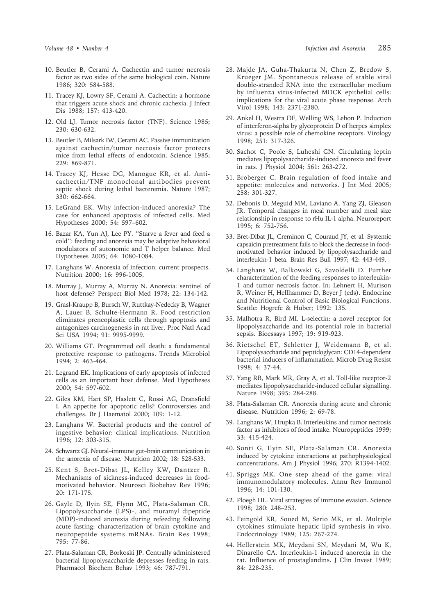- 10. Beutler B, Cerami A. Cachectin and tumor necrosis factor as two sides of the same biological coin. Nature 1986; 320: 584-588.
- 11. Tracey KJ, Lowry SF, Cerami A. Cachectin: a hormone that triggers acute shock and chronic cachexia. J Infect Dis 1988; 157: 413-420.
- 12. Old LJ. Tumor necrosis factor (TNF). Science 1985; 230: 630-632.
- 13. Beutler B, Milsark IW, Cerami AC. Passive immunization against cachectin/tumor necrosis factor protects mice from lethal effects of endotoxin. Science 1985; 229: 869-871.
- 14. Tracey KJ, Hesse DG, Manogue KR, et al. Anticachectin/TNF monoclonal antibodies prevent septic shock during lethal bacteremia. Nature 1987; 330: 662-664.
- 15. LeGrand EK. Why infection-induced anorexia? The case for enhanced apoptosis of infected cells. Med Hypotheses 2000; 54: 597–602.
- 16. Bazar KA, Yun AJ, Lee PY. ''Starve a fever and feed a cold'': feeding and anorexia may be adaptive behavioral modulators of autonomic and T helper balance. Med Hypotheses 2005; 64: 1080-1084.
- 17. Langhans W. Anorexia of infection: current prospects. Nutrition 2000; 16: 996-1005.
- 18. Murray J, Murray A, Murray N. Anorexia: sentinel of host defense? Perspect Biol Med 1978; 22: 134-142.
- 19. Grasl-Kraupp B, Bursch W, Ruttkay-Nedecky B, Wagner A, Lauer B, Schulte-Hermann R. Food restriction eliminates preneoplastic cells through apoptosis and antagonizes carcinogenesis in rat liver. Proc Natl Acad Sci USA 1994; 91: 9995-9999.
- 20. Williams GT. Programmed cell death: a fundamental protective response to pathogens. Trends Microbiol 1994; 2: 463-464.
- 21. Legrand EK. Implications of early apoptosis of infected cells as an important host defense. Med Hypotheses 2000; 54: 597-602.
- 22. Giles KM, Hart SP, Haslett C, Rossi AG, Dransfield I. An appetite for apoptotic cells? Controversies and challenges. Br J Haematol 2000; 109: 1-12.
- 23. Langhans W. Bacterial products and the control of ingestive behavior: clinical implications. Nutrition 1996; 12: 303-315.
- 24. Schwartz GJ. Neural–immune gut–brain communication in the anorexia of disease. Nutrition 2002; 18: 528-533.
- 25. Kent S, Bret-Dibat JL, Kelley KW, Dantzer R. Mechanisms of sickness-induced decreases in foodmotivated behavior. Neurosci Biobehav Rev 1996; 20: 171-175.
- 26. Gayle D, Ilyin SE, Flynn MC, Plata-Salaman CR. Lipopolysaccharide (LPS)-, and muramyl dipeptide (MDP)-induced anorexia during refeeding following acute fasting: characterization of brain cytokine and neuropeptide systems mRNAs. Brain Res 1998; 795: 77-86.
- 27. Plata-Salaman CR, Borkoski JP. Centrally administered bacterial lipopolysaccharide depresses feeding in rats. Pharmacol Biochem Behav 1993; 46: 787-791.
- 28. Majde JA, Guha-Thakurta N, Chen Z, Bredow S, Krueger JM. Spontaneous release of stable viral double-stranded RNA into the extracellular medium by influenza virus-infected MDCK epithelial cells: implications for the viral acute phase response. Arch Virol 1998; 143: 2371-2380.
- 29. Ankel H, Westra DF, Welling WS, Lebon P. Induction of interferon-alpha by glycoprotein D of herpes simplex virus: a possible role of chemokine receptors. Virology 1998; 251: 317-326.
- 30. Sachot C, Poole S, Luheshi GN. Circulating leptin mediates lipopolysaccharide-induced anorexia and fever in rats. J Physiol 2004; 561: 263-272.
- 31. Broberger C. Brain regulation of food intake and appetite: molecules and networks. J Int Med 2005; 258: 301-327.
- 32. Debonis D, Meguid MM, Laviano A, Yang ZJ, Gleason JR. Temporal changes in meal number and meal size relationship in response to rHu IL-1 alpha. Neuroreport 1995; 6: 752-756.
- 33. Bret-Dibat JL, Creminon C, Couraud JY, et al. Systemic capsaicin pretreatment fails to block the decrease in foodmotivated behavior induced by lipopolysaccharide and interleukin-1 beta. Brain Res Bull 1997; 42: 443-449.
- 34. Langhans W, Balkowski G, Savoldelli D. Further characterization of the feeding responses to interleukin-1 and tumor necrosis factor. In: Lehnert H, Murison R, Weiner H, Hellhammer D, Beyer J (eds). Endocrine and Nutritional Control of Basic Biological Functions. Seattle: Hogrefe & Huber; 1992: 135.
- 35. Malhotra R, Bird MI. L-selectin: a novel receptor for lipopolysaccharide and its potential role in bacterial sepsis. Bioessays 1997; 19: 919-923.
- 36. Rietschel ET, Schletter J, Weidemann B, et al. Lipopolysaccharide and peptidoglycan: CD14-dependent bacterial inducers of inflammation. Microb Drug Resist 1998; 4: 37-44.
- 37. Yang RB, Mark MR, Gray A, et al. Toll-like receptor-2 mediates lipopolysaccharide-induced cellular signalling. Nature 1998; 395: 284-288.
- 38. Plata-Salaman CR. Anorexia during acute and chronic disease. Nutrition 1996; 2: 69-78.
- 39. Langhans W, Hrupka B. Interleukins and tumor necrosis factor as inhibitors of food intake. Neuropeptides 1999; 33: 415-424.
- 40. Sonti G, Ilyin SE, Plata-Salaman CR. Anorexia induced by cytokine interactions at pathophysiological concentrations. Am J Physiol 1996; 270: R1394-1402.
- 41. Spriggs MK. One step ahead of the game: viral immunomodulatory molecules. Annu Rev Immunol 1996; 14: 101-130.
- 42. Ploegh HL. Viral strategies of immune evasion. Science 1998; 280: 248–253.
- 43. Feingold KR, Soued M, Serio MK, et al. Multiple cytokines stimulate hepatic lipid synthesis in vivo. Endocrinology 1989; 125: 267-274.
- 44. Hellerstein MK, Meydani SN, Meydani M, Wu K, Dinarello CA. Interleukin-1 induced anorexia in the rat. Influence of prostaglandins. J Clin Invest 1989; 84: 228-235.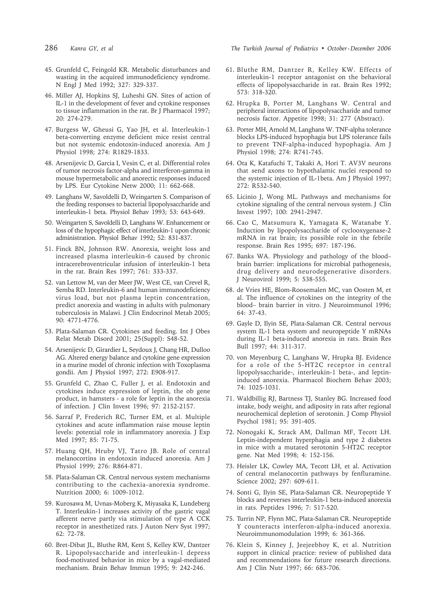- 
- 45. Grunfeld C, Feingold KR. Metabolic disturbances and wasting in the acquired immunodeficiency syndrome. N Engl J Med 1992; 327: 329-337.
- 46. Miller AJ, Hopkins SJ, Luheshi GN. Sites of action of IL-1 in the development of fever and cytokine responses to tissue inflammation in the rat. Br J Pharmacol 1997; 20: 274-279.
- 47. Burgess W, Gheusi G, Yao JH, et al. Interleukin-1 beta-converting enzyme deficient mice resist central but not systemic endotoxin-induced anorexia. Am J Physiol 1998; 274: R1829-1833.
- 48. Arsenijevic D, Garcia I, Vesin C, et al. Differential roles of tumor necrosis factor-alpha and interferon-gamma in mouse hypermetabolic and anorectic responses induced by LPS. Eur Cytokine Netw 2000; 11: 662-668.
- 49. Langhans W, Savoldelli D, Weingarten S. Comparison of the feeding responses to bacterial lipopolysaccharide and interleukin-1 beta. Physiol Behav 1993; 53: 643-649.
- 50. Weingarten S, Savoldelli D, Langhans W. Enhancement or loss of the hypophagic effect of interleukin-1 upon chronic administration. Physiol Behav 1992; 52: 831-837.
- 51. Finck BN, Johnson RW. Anorexia, weight loss and increased plasma interleukin-6 caused by chronic intracerebroventricular infusion of interleukin-1 beta in the rat. Brain Res 1997; 761: 333-337.
- 52. van Lettow M, van der Meer JW, West CE, van Crevel R, Semba RD. Interleukin-6 and human immunodeficiency virus load, but not plasma leptin concentration, predict anorexia and wasting in adults with pulmonary tuberculosis in Malawi. J Clin Endocrinol Metab 2005; 90: 4771-4776.
- 53. Plata-Salaman CR. Cytokines and feeding. Int J Obes Relat Metab Disord 2001; 25(Suppl): S48-52.
- 54. Arsenijevic D, Girardier L, Seydoux J, Chang HR, Dulloo AG. Altered energy balance and cytokine gene expression in a murine model of chronic infection with Toxoplasma gondii. Am J Physiol 1997; 272: E908-917.
- 55. Grunfeld C, Zhao C, Fuller J, et al. Endotoxin and cytokines induce expression of leptin, the ob gene product, in hamsters - a role for leptin in the anorexia of infection. J Clin Invest 1996; 97: 2152-2157.
- 56. Sarraf P, Frederich RC, Turner EM, et al. Multiple cytokines and acute inflammation raise mouse leptin levels: potential role in inflammatory anorexia. J Exp Med 1997; 85: 71-75.
- 57. Huang QH, Hruby VJ, Tatro JB. Role of central melanocortins in endotoxin induced anorexia. Am J Physiol 1999; 276: R864-871.
- 58. Plata-Salaman CR. Central nervous system mechanisms contributing to the cachexia–anorexia syndrome. Nutrition 2000; 6: 1009-1012.
- 59. Kurosawa M, Uvnas-Moberg K, Miyasaka K, Lundeberg T. Interleukin-1 increases activity of the gastric vagal afferent nerve partly via stimulation of type A CCK receptor in anesthetized rats. J Auton Nerv Syst 1997; 62: 72-78.
- 60. Bret-Dibat JL, Bluthe RM, Kent S, Kelley KW, Dantzer R. Lipopolysaccharide and interleukin-1 depress food-motivated behavior in mice by a vagal-mediated mechanism. Brain Behav Immun 1995; 9: 242-246.

286 *Kanra GY, et al The Turkish Journal of Pediatrics • October - December 2006*

- 61. Bluthe RM, Dantzer R, Kelley KW. Effects of interleukin-1 receptor antagonist on the behavioral effects of lipopolysaccharide in rat. Brain Res 1992; 573: 318-320.
- 62. Hrupka B, Porter M, Langhans W. Central and peripheral interactions of lipopolysaccharide and tumor necrosis factor. Appetite 1998; 31: 277 (Abstract).
- 63. Porter MH, Arnold M, Langhans W. TNF-alpha tolerance blocks LPS-induced hypophagia but LPS tolerance fails to prevent TNF-alpha-induced hypophagia. Am J Physiol 1998; 274: R741-745.
- 64. Ota K, Katafuchi T, Takaki A, Hori T. AV3V neurons that send axons to hypothalamic nuclei respond to the systemic injection of IL-1beta. Am J Physiol 1997; 272: R532-540.
- 65. Licinio J, Wong ML. Pathways and mechanisms for cytokine signaling of the central nervous system. J Clin Invest 1997; 100: 2941-2947.
- 66. Cao C, Matsumura K, Yamagata K, Watanabe Y. Induction by lipopolysaccharide of cyclooxygenase-2 mRNA in rat brain; its possible role in the febrile response. Brain Res 1995; 697: 187-196.
- 67. Banks WA. Physiology and pathology of the blood– brain barrier: implications for microbial pathogenesis, drug delivery and neurodegenerative disorders. J Neurovirol 1999; 5: 538-555.
- 68. de Vries HE, Blom-Roosemalen MC, van Oosten M, et al. The influence of cytokines on the integrity of the blood– brain barrier in vitro. J Neuroimmunol 1996; 64: 37-43.
- 69. Gayle D, Ilyin SE, Plata-Salaman CR. Central nervous system IL-1 beta system and neuropeptide Y mRNAs during IL-1 beta-induced anorexia in rats. Brain Res Bull 1997; 44: 311-317.
- 70. von Meyenburg C, Langhans W, Hrupka BJ. Evidence for a role of the 5-HT2C receptor in central lipopolysaccharide-, interleukin-1 beta-, and leptininduced anorexia. Pharmacol Biochem Behav 2003; 74: 1025-1031.
- 71. Waldbillig RJ, Bartness TJ, Stanley BG. Increased food intake, body weight, and adiposity in rats after regional neurochemical depletion of serotonin. J Comp Physiol Psychol 1981; 95: 391-405.
- 72. Nonogaki K, Strack AM, Dallman MF, Tecott LH. Leptin-independent hyperphagia and type 2 diabetes in mice with a mutated serotonin 5-HT2C receptor gene. Nat Med 1998; 4: 152-156.
- 73. Heisler LK, Cowley MA, Tecott LH, et al. Activation of central melanocortin pathways by fenfluramine. Science 2002; 297: 609-611.
- 74. Sonti G, Ilyin SE, Plata-Salaman CR. Neuropeptide Y blocks and reverses interleukin-1 beta-induced anorexia in rats. Peptides 1996; 7: 517-520.
- 75. Turrin NP, Flynn MC, Plata-Salaman CR. Neuropeptide Y counteracts interferon-alpha-induced anorexia. Neuroimmunomodulation 1999; 6: 361-366.
- 76. Klein S, Kinney J, Jeejeebhoy K, et al. Nutrition support in clinical practice: review of published data and recommendations for future research directions. Am J Clin Nutr 1997; 66: 683-706.